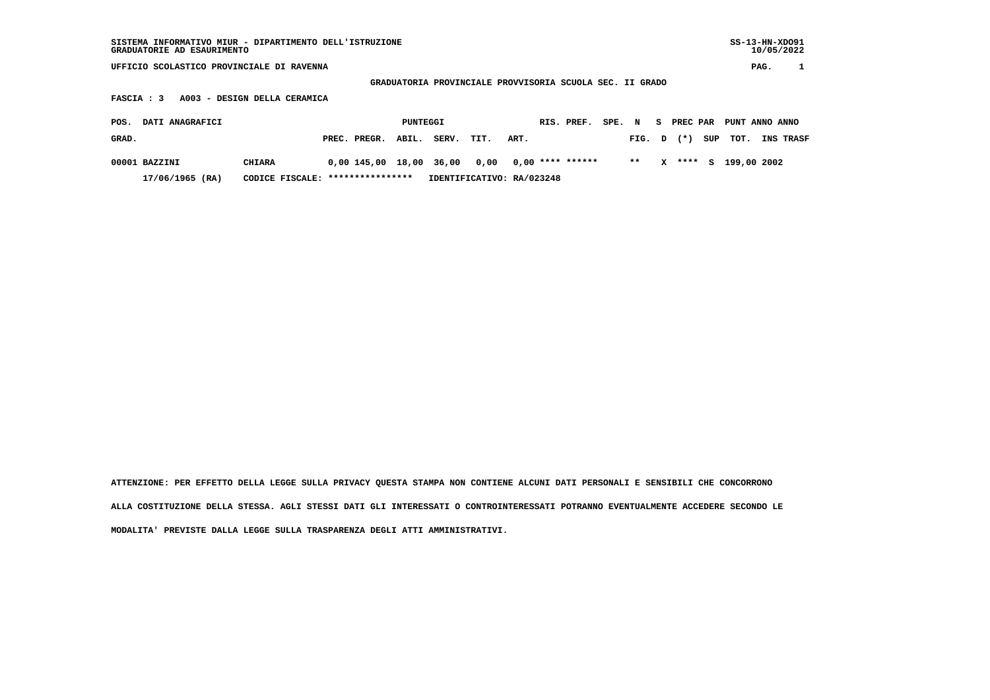| SISTEMA INFORMATIVO MIUR - DIPARTIMENTO DELL'ISTRUZIONE<br>GRADUATORIE AD ESAURIMENTO |                                   |  |                         |       |                           |        |      |    |                    |  |                |   |        |     | $SS-13-HN-XDO91$ | 10/05/2022 |           |
|---------------------------------------------------------------------------------------|-----------------------------------|--|-------------------------|-------|---------------------------|--------|------|----|--------------------|--|----------------|---|--------|-----|------------------|------------|-----------|
| UFFICIO SCOLASTICO PROVINCIALE DI RAVENNA                                             |                                   |  |                         |       |                           |        |      |    |                    |  |                |   |        |     |                  | PAG.       |           |
| GRADUATORIA PROVINCIALE PROVVISORIA SCUOLA SEC. II GRADO                              |                                   |  |                         |       |                           |        |      |    |                    |  |                |   |        |     |                  |            |           |
| A003 - DESIGN DELLA CERAMICA<br>FASCIA : 3                                            |                                   |  |                         |       |                           |        |      |    |                    |  |                |   |        |     |                  |            |           |
| DATI ANAGRAFICI<br>POS.                                                               | PUNTEGGI                          |  |                         |       | RIS. PREF.                | SPE. N |      | S. | PREC PAR           |  | PUNT ANNO ANNO |   |        |     |                  |            |           |
|                                                                                       |                                   |  |                         |       |                           |        |      |    |                    |  |                |   |        |     |                  |            |           |
| GRAD.                                                                                 |                                   |  | PREC. PREGR.            | ABIL. | SERV.                     | TIT.   | ART. |    |                    |  | FIG. D         |   | $(* )$ | SUP | TOT.             |            | INS TRASF |
|                                                                                       |                                   |  |                         |       |                           |        |      |    |                    |  |                |   |        |     |                  |            |           |
| 00001 BAZZINI                                                                         | <b>CHIARA</b>                     |  | 0,00 145,00 18,00 36,00 |       |                           | 0,00   |      |    | $0.00$ **** ****** |  | $* *$          | x | ****   | s   | 199,00 2002      |            |           |
| $17/06/1965$ (RA)                                                                     | CODICE FISCALE: ***************** |  |                         |       | IDENTIFICATIVO: RA/023248 |        |      |    |                    |  |                |   |        |     |                  |            |           |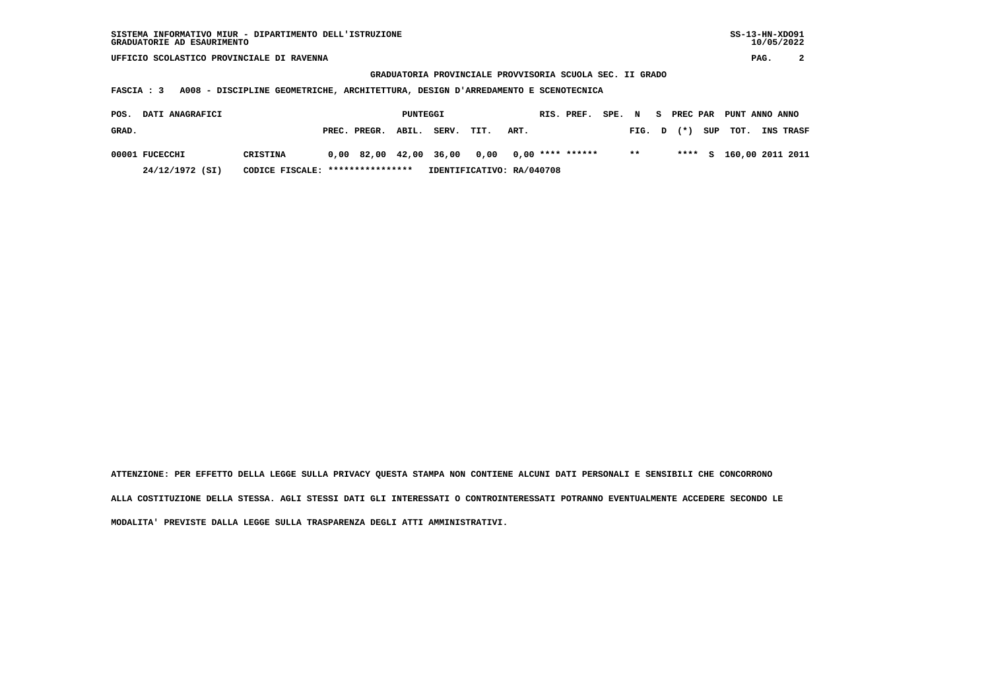**UFFICIO SCOLASTICO PROVINCIALE DI RAVENNA PAG. 2**

 **GRADUATORIA PROVINCIALE PROVVISORIA SCUOLA SEC. II GRADO**

 **FASCIA : 3 A008 - DISCIPLINE GEOMETRICHE, ARCHITETTURA, DESIGN D'ARREDAMENTO E SCENOTECNICA**

| POS.  | <b>DATI ANAGRAFICI</b> |                                  |                                                | PUNTEGGI |       |                           |      | RIS. PREF. | SPE. N |        |  | S PREC PAR PUNT ANNO ANNO |                         |
|-------|------------------------|----------------------------------|------------------------------------------------|----------|-------|---------------------------|------|------------|--------|--------|--|---------------------------|-------------------------|
| GRAD. |                        |                                  | PREC. PREGR. ABIL.                             |          | SERV. | TIT.                      | ART. |            |        | FIG. D |  | $(*)$ SUP TOT.            | <b>INS TRASF</b>        |
|       | 00001 FUCECCHI         | CRISTINA                         | $0,00$ 82,00 42,00 36,00 0,00 0,00 **** ****** |          |       |                           |      |            |        | $* *$  |  |                           | **** S 160,00 2011 2011 |
|       | 24/12/1972 (SI)        | CODICE FISCALE: **************** |                                                |          |       | IDENTIFICATIVO: RA/040708 |      |            |        |        |  |                           |                         |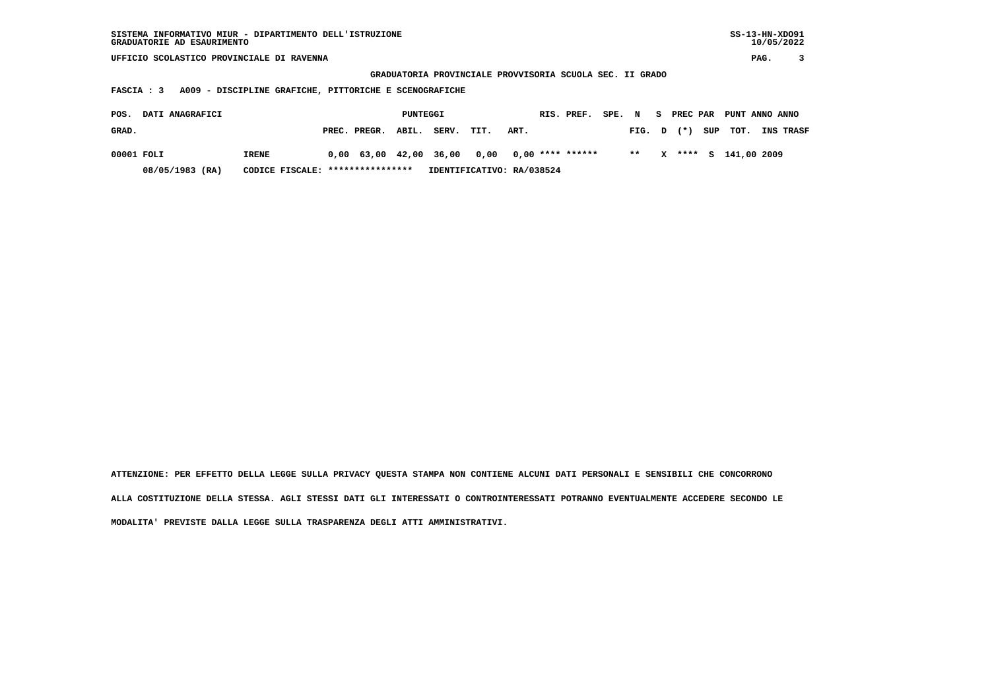| SISTEMA INFORMATIVO MIUR - DIPARTIMENTO DELL'ISTRUZIONE | SS-13-HN-XD091 |
|---------------------------------------------------------|----------------|
| GRADUATORIE AD ESAURIMENTO                              | 10/05/2022     |

 **UFFICIO SCOLASTICO PROVINCIALE DI RAVENNA PAG. 3**

 **GRADUATORIA PROVINCIALE PROVVISORIA SCUOLA SEC. II GRADO**

 **FASCIA : 3 A009 - DISCIPLINE GRAFICHE, PITTORICHE E SCENOGRAFICHE**

| POS.       | <b>DATI ANAGRAFICI</b> |       |                                  |                    | PUNTEGGI |                           |                                                |      | RIS. PREF. SPE. N S PREC PAR PUNT ANNO ANNO |  |        |              |  |                    |                  |
|------------|------------------------|-------|----------------------------------|--------------------|----------|---------------------------|------------------------------------------------|------|---------------------------------------------|--|--------|--------------|--|--------------------|------------------|
| GRAD.      |                        |       |                                  | PREC. PREGR. ABIL. |          | SERV.                     | TIT.                                           | ART. |                                             |  | FIG. D |              |  | (*) SUP TOT.       | <b>INS TRASF</b> |
| 00001 FOLI |                        | IRENE |                                  |                    |          |                           | $0.00$ 63.00 42.00 36.00 0.00 0.00 **** ****** |      |                                             |  | $**$   | $\mathbf{x}$ |  | **** S 141,00 2009 |                  |
|            | 08/05/1983 (RA)        |       | CODICE FISCALE: **************** |                    |          | IDENTIFICATIVO: RA/038524 |                                                |      |                                             |  |        |              |  |                    |                  |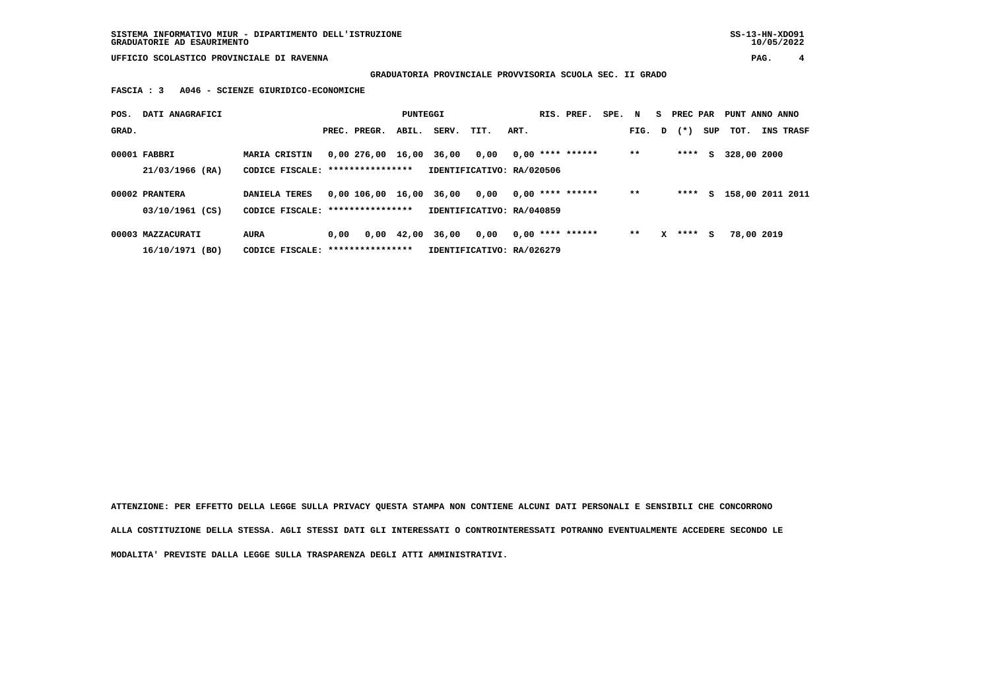**UFFICIO SCOLASTICO PROVINCIALE DI RAVENNA PAG. 4**

 **GRADUATORIA PROVINCIALE PROVVISORIA SCUOLA SEC. II GRADO**

 **FASCIA : 3 A046 - SCIENZE GIURIDICO-ECONOMICHE**

| POS.  | DATI ANAGRAFICI   |                                   | PUNTEGGI |                         |            | RIS. PREF. | SPE.                      | $\mathbf N$ |                    | S PREC PAR |        | PUNT ANNO ANNO |           |     |                    |           |
|-------|-------------------|-----------------------------------|----------|-------------------------|------------|------------|---------------------------|-------------|--------------------|------------|--------|----------------|-----------|-----|--------------------|-----------|
| GRAD. |                   |                                   |          | PREC. PREGR.            | ABIL.      | SERV.      | TIT.                      | ART.        |                    |            | FIG. D |                | $(\star)$ | SUP | тот.               | INS TRASF |
|       | 00001 FABBRI      | <b>MARIA CRISTIN</b>              |          | 0,00 276,00 16,00 36,00 |            |            | 0,00                      |             | $0.00$ **** ****** |            | $* *$  |                | ****      | S.  | 328,00 2000        |           |
|       | 21/03/1966 (RA)   | CODICE FISCALE: ***************** |          |                         |            |            | IDENTIFICATIVO: RA/020506 |             |                    |            |        |                |           |     |                    |           |
|       | 00002 PRANTERA    | <b>DANIELA TERES</b>              |          | 0,00 106,00 16,00 36,00 |            |            | 0,00                      |             | $0.00$ **** ****** |            | $* *$  |                | ****      |     | S 158,00 2011 2011 |           |
|       | 03/10/1961 (CS)   | CODICE FISCALE: ***************** |          |                         |            |            | IDENTIFICATIVO: RA/040859 |             |                    |            |        |                |           |     |                    |           |
|       | 00003 MAZZACURATI | <b>AURA</b>                       | 0.00     |                         | 0,00 42,00 | 36,00      | 0,00                      |             | $0.00$ **** ****** |            | $***$  | x              | ****      | s   | 78,00 2019         |           |
|       | 16/10/1971 (BO)   | CODICE FISCALE: ***************** |          |                         |            |            | IDENTIFICATIVO: RA/026279 |             |                    |            |        |                |           |     |                    |           |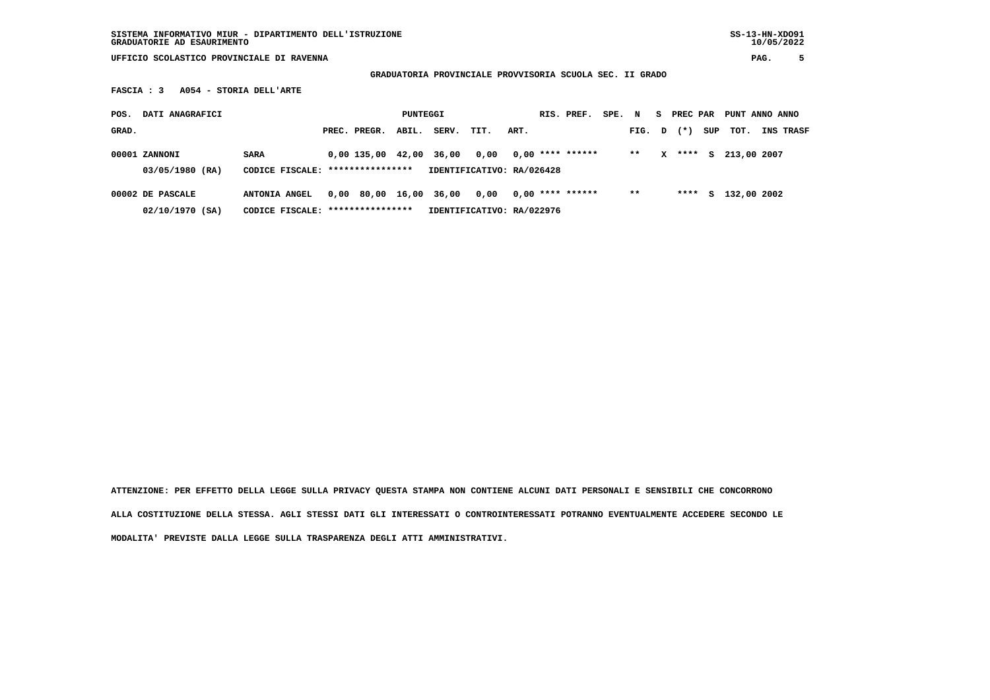**SISTEMA INFORMATIVO MIUR - DIPARTIMENTO DELL'ISTRUZIONE SS-13-HN-XDO91 GRADUATORIE AD ESAURIMENTO 10/05/2022**

 **UFFICIO SCOLASTICO PROVINCIALE DI RAVENNA PAG. 5**

 **GRADUATORIA PROVINCIALE PROVVISORIA SCUOLA SEC. II GRADO**

 **FASCIA : 3 A054 - STORIA DELL'ARTE**

| POS.  | DATI ANAGRAFICI  |                      |                                  |                        | PUNTEGGI |                           |      |      | RIS. PREF.         | SPE. N |        |   | S PREC PAR |     | PUNT ANNO ANNO |                  |
|-------|------------------|----------------------|----------------------------------|------------------------|----------|---------------------------|------|------|--------------------|--------|--------|---|------------|-----|----------------|------------------|
| GRAD. |                  |                      |                                  | PREC. PREGR.           | ABIL.    | SERV.                     | TIT. | ART. |                    |        | FIG. D |   | $(* )$     | SUP | тот.           | <b>INS TRASF</b> |
|       | 00001 ZANNONI    | <b>SARA</b>          |                                  | 0,00 135,00            | 42,00    | 36,00                     | 0.00 |      | $0,00$ **** ****** |        | $**$   | x | ****       | S.  | 213,00 2007    |                  |
|       | 03/05/1980 (RA)  |                      | CODICE FISCALE: **************** |                        |          | IDENTIFICATIVO: RA/026428 |      |      |                    |        |        |   |            |     |                |                  |
|       | 00002 DE PASCALE | <b>ANTONIA ANGEL</b> |                                  | 0,00 80,00 16,00 36,00 |          |                           | 0.00 |      | $0.00$ **** ****** |        | $* *$  |   | ****       | s   | 132,00 2002    |                  |
|       | 02/10/1970 (SA)  |                      | CODICE FISCALE: **************** |                        |          | IDENTIFICATIVO: RA/022976 |      |      |                    |        |        |   |            |     |                |                  |